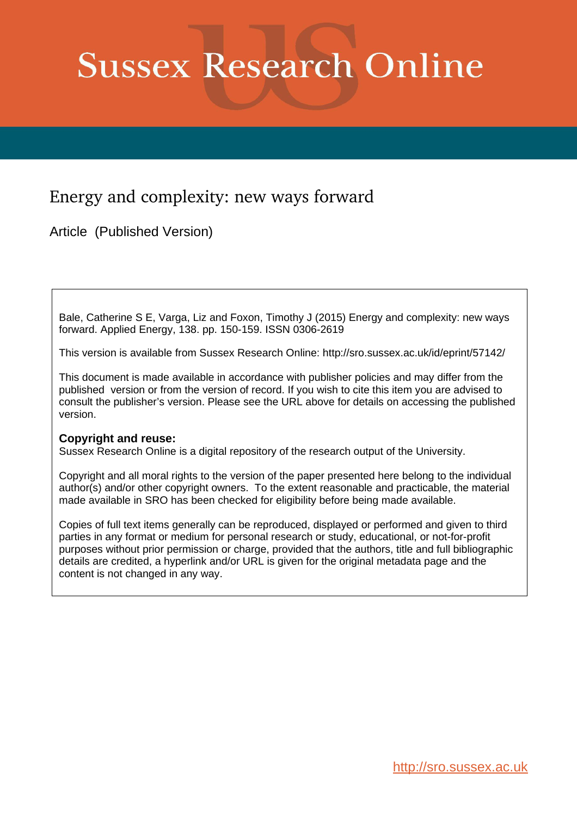# **Sussex Research Online**

# Energy and complexity: new ways forward

Article (Published Version)

Bale, Catherine S E, Varga, Liz and Foxon, Timothy J (2015) Energy and complexity: new ways forward. Applied Energy, 138. pp. 150-159. ISSN 0306-2619

This version is available from Sussex Research Online: http://sro.sussex.ac.uk/id/eprint/57142/

This document is made available in accordance with publisher policies and may differ from the published version or from the version of record. If you wish to cite this item you are advised to consult the publisher's version. Please see the URL above for details on accessing the published version.

## **Copyright and reuse:**

Sussex Research Online is a digital repository of the research output of the University.

Copyright and all moral rights to the version of the paper presented here belong to the individual author(s) and/or other copyright owners. To the extent reasonable and practicable, the material made available in SRO has been checked for eligibility before being made available.

Copies of full text items generally can be reproduced, displayed or performed and given to third parties in any format or medium for personal research or study, educational, or not-for-profit purposes without prior permission or charge, provided that the authors, title and full bibliographic details are credited, a hyperlink and/or URL is given for the original metadata page and the content is not changed in any way.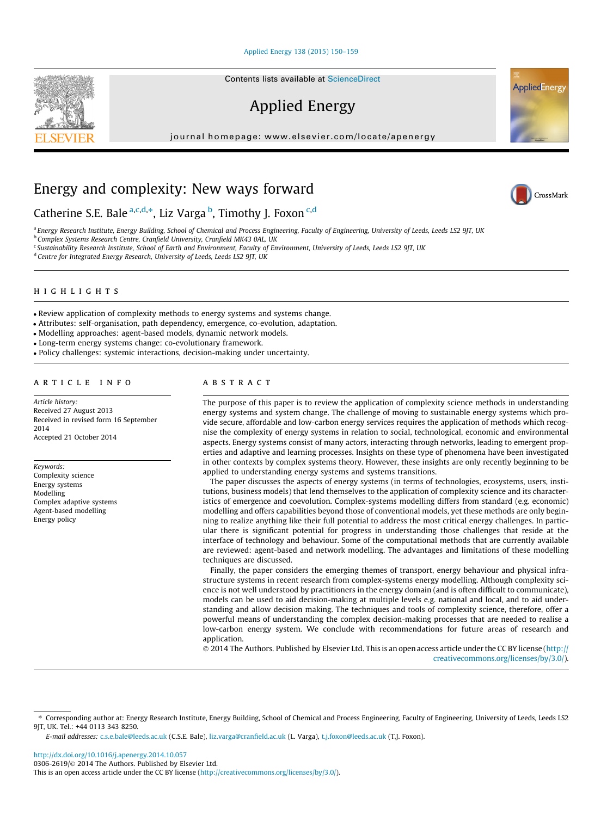#### [Applied Energy 138 \(2015\) 150–159](http://dx.doi.org/10.1016/j.apenergy.2014.10.057)

Contents lists available at [ScienceDirect](http://www.sciencedirect.com/science/journal/03062619)

## Applied Energy

journal homepage: [www.elsevier.com/locate/apenergy](http://www.elsevier.com/locate/apenergy)

## Energy and complexity: New ways forward

### Catherine S.E. Bale <sup>a,c,d,\*</sup>, Liz Varga <sup>b</sup>, Timothy J. Foxon <sup>c,d</sup>

a Energy Research Institute, Energy Building, School of Chemical and Process Engineering, Faculty of Engineering, University of Leeds, Leeds LS2 9JT, UK

<sup>b</sup> Complex Systems Research Centre, Cranfield University, Cranfield MK43 0AL, UK

<sup>c</sup> Sustainability Research Institute, School of Earth and Environment, Faculty of Environment, University of Leeds, Leeds LS2 9JT, UK

<sup>d</sup> Centre for Integrated Energy Research, University of Leeds, Leeds LS2 9JT, UK

#### highlights

- Review application of complexity methods to energy systems and systems change.

- Attributes: self-organisation, path dependency, emergence, co-evolution, adaptation.

- Modelling approaches: agent-based models, dynamic network models.
- Long-term energy systems change: co-evolutionary framework.

- Policy challenges: systemic interactions, decision-making under uncertainty.

#### article info

Article history: Received 27 August 2013 Received in revised form 16 September 2014 Accepted 21 October 2014

Keywords: Complexity science Energy systems Modelling Complex adaptive systems Agent-based modelling Energy policy

#### **ABSTRACT**

The purpose of this paper is to review the application of complexity science methods in understanding energy systems and system change. The challenge of moving to sustainable energy systems which provide secure, affordable and low-carbon energy services requires the application of methods which recognise the complexity of energy systems in relation to social, technological, economic and environmental aspects. Energy systems consist of many actors, interacting through networks, leading to emergent properties and adaptive and learning processes. Insights on these type of phenomena have been investigated in other contexts by complex systems theory. However, these insights are only recently beginning to be applied to understanding energy systems and systems transitions.

The paper discusses the aspects of energy systems (in terms of technologies, ecosystems, users, institutions, business models) that lend themselves to the application of complexity science and its characteristics of emergence and coevolution. Complex-systems modelling differs from standard (e.g. economic) modelling and offers capabilities beyond those of conventional models, yet these methods are only beginning to realize anything like their full potential to address the most critical energy challenges. In particular there is significant potential for progress in understanding those challenges that reside at the interface of technology and behaviour. Some of the computational methods that are currently available are reviewed: agent-based and network modelling. The advantages and limitations of these modelling techniques are discussed.

Finally, the paper considers the emerging themes of transport, energy behaviour and physical infrastructure systems in recent research from complex-systems energy modelling. Although complexity science is not well understood by practitioners in the energy domain (and is often difficult to communicate), models can be used to aid decision-making at multiple levels e.g. national and local, and to aid understanding and allow decision making. The techniques and tools of complexity science, therefore, offer a powerful means of understanding the complex decision-making processes that are needed to realise a low-carbon energy system. We conclude with recommendations for future areas of research and application.

 $\odot$  2014 The Authors. Published by Elsevier Ltd. This is an open access article under the CC BY license ([http://](http://creativecommons.org/licenses/by/3.0/) [creativecommons.org/licenses/by/3.0/](http://creativecommons.org/licenses/by/3.0/)).







<sup>⇑</sup> Corresponding author at: Energy Research Institute, Energy Building, School of Chemical and Process Engineering, Faculty of Engineering, University of Leeds, Leeds LS2 9JT, UK. Tel.: +44 0113 343 8250.

E-mail addresses: [c.s.e.bale@leeds.ac.uk](mailto:c.s.e.bale@leeds.ac.uk) (C.S.E. Bale), [liz.varga@cranfield.ac.uk](mailto:liz.varga@cranfield.ac.uk) (L. Varga), [t.j.foxon@leeds.ac.uk](mailto:t.j.foxon@leeds.ac.uk) (T.J. Foxon).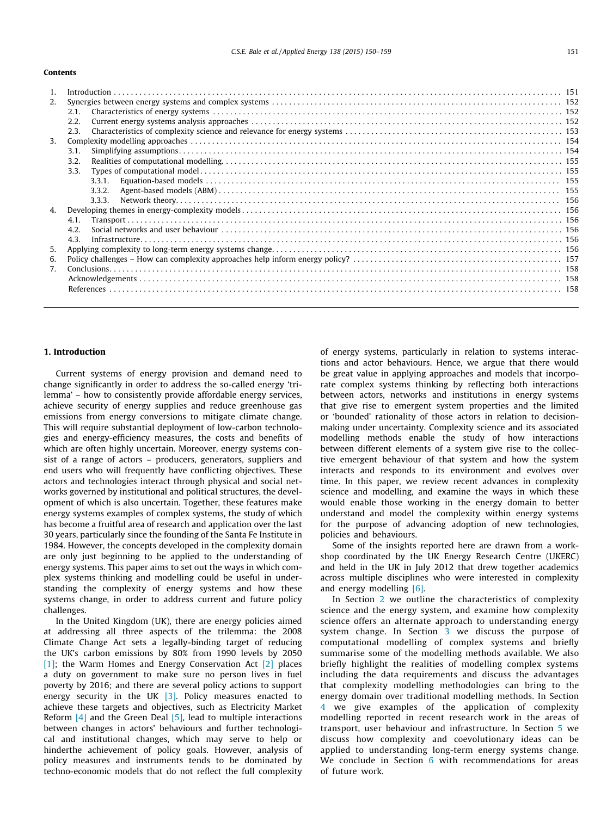#### Contents

| 2.             |        |  |  |  |  |  |  |
|----------------|--------|--|--|--|--|--|--|
|                | 2.1.   |  |  |  |  |  |  |
|                | 2.2.   |  |  |  |  |  |  |
|                | 2.3.   |  |  |  |  |  |  |
| 3.             |        |  |  |  |  |  |  |
|                | 3.1.   |  |  |  |  |  |  |
|                | 3.2.   |  |  |  |  |  |  |
|                | 3.3.   |  |  |  |  |  |  |
|                | 3.3.1. |  |  |  |  |  |  |
|                | 3.3.2. |  |  |  |  |  |  |
|                | 3.3.3. |  |  |  |  |  |  |
| 4.             |        |  |  |  |  |  |  |
|                | 4.1.   |  |  |  |  |  |  |
|                | 4.2.   |  |  |  |  |  |  |
|                | 4.3.   |  |  |  |  |  |  |
| 5.             |        |  |  |  |  |  |  |
| 6.             |        |  |  |  |  |  |  |
| 7 <sup>1</sup> |        |  |  |  |  |  |  |
|                |        |  |  |  |  |  |  |
|                |        |  |  |  |  |  |  |
|                |        |  |  |  |  |  |  |

#### 1. Introduction

Current systems of energy provision and demand need to change significantly in order to address the so-called energy 'trilemma' – how to consistently provide affordable energy services, achieve security of energy supplies and reduce greenhouse gas emissions from energy conversions to mitigate climate change. This will require substantial deployment of low-carbon technologies and energy-efficiency measures, the costs and benefits of which are often highly uncertain. Moreover, energy systems consist of a range of actors – producers, generators, suppliers and end users who will frequently have conflicting objectives. These actors and technologies interact through physical and social networks governed by institutional and political structures, the development of which is also uncertain. Together, these features make energy systems examples of complex systems, the study of which has become a fruitful area of research and application over the last 30 years, particularly since the founding of the Santa Fe Institute in 1984. However, the concepts developed in the complexity domain are only just beginning to be applied to the understanding of energy systems. This paper aims to set out the ways in which complex systems thinking and modelling could be useful in understanding the complexity of energy systems and how these systems change, in order to address current and future policy challenges.

In the United Kingdom (UK), there are energy policies aimed at addressing all three aspects of the trilemma: the 2008 Climate Change Act sets a legally-binding target of reducing the UK's carbon emissions by 80% from 1990 levels by 2050 [\[1\]](#page-9-0); the Warm Homes and Energy Conservation Act [\[2\]](#page-9-0) places a duty on government to make sure no person lives in fuel poverty by 2016; and there are several policy actions to support energy security in the UK [\[3\]](#page-9-0). Policy measures enacted to achieve these targets and objectives, such as Electricity Market Reform  $[4]$  and the Green Deal  $[5]$ , lead to multiple interactions between changes in actors' behaviours and further technological and institutional changes, which may serve to help or hinderthe achievement of policy goals. However, analysis of policy measures and instruments tends to be dominated by techno-economic models that do not reflect the full complexity of energy systems, particularly in relation to systems interactions and actor behaviours. Hence, we argue that there would be great value in applying approaches and models that incorporate complex systems thinking by reflecting both interactions between actors, networks and institutions in energy systems that give rise to emergent system properties and the limited or 'bounded' rationality of those actors in relation to decisionmaking under uncertainty. Complexity science and its associated modelling methods enable the study of how interactions between different elements of a system give rise to the collective emergent behaviour of that system and how the system interacts and responds to its environment and evolves over time. In this paper, we review recent advances in complexity science and modelling, and examine the ways in which these would enable those working in the energy domain to better understand and model the complexity within energy systems for the purpose of advancing adoption of new technologies, policies and behaviours.

Some of the insights reported here are drawn from a workshop coordinated by the UK Energy Research Centre (UKERC) and held in the UK in July 2012 that drew together academics across multiple disciplines who were interested in complexity and energy modelling [\[6\]](#page-9-0).

In Section [2](#page-3-0) we outline the characteristics of complexity science and the energy system, and examine how complexity science offers an alternate approach to understanding energy system change. In Section [3](#page-5-0) we discuss the purpose of computational modelling of complex systems and briefly summarise some of the modelling methods available. We also briefly highlight the realities of modelling complex systems including the data requirements and discuss the advantages that complexity modelling methodologies can bring to the energy domain over traditional modelling methods. In Section [4](#page-7-0) we give examples of the application of complexity modelling reported in recent research work in the areas of transport, user behaviour and infrastructure. In Section [5](#page-7-0) we discuss how complexity and coevolutionary ideas can be applied to understanding long-term energy systems change. We conclude in Section [6](#page-8-0) with recommendations for areas of future work.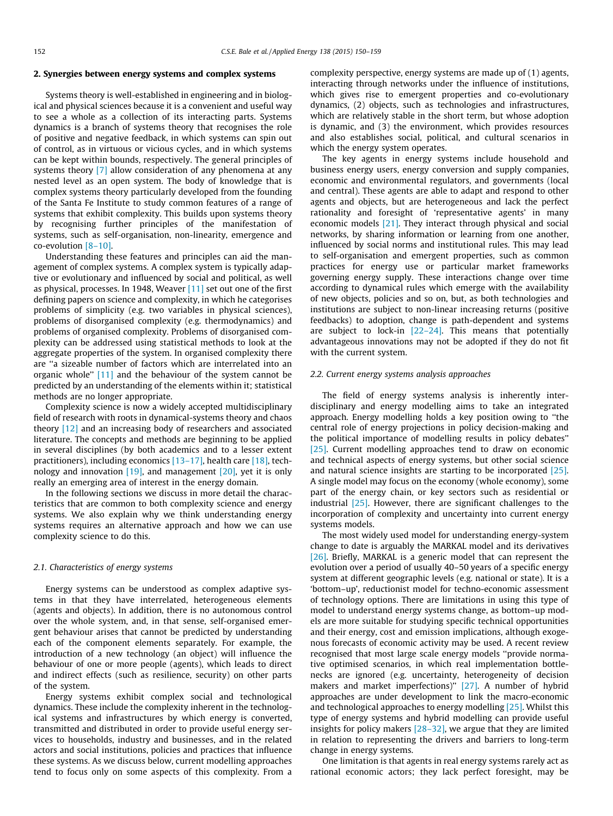#### <span id="page-3-0"></span>2. Synergies between energy systems and complex systems

Systems theory is well-established in engineering and in biological and physical sciences because it is a convenient and useful way to see a whole as a collection of its interacting parts. Systems dynamics is a branch of systems theory that recognises the role of positive and negative feedback, in which systems can spin out of control, as in virtuous or vicious cycles, and in which systems can be kept within bounds, respectively. The general principles of systems theory [\[7\]](#page-9-0) allow consideration of any phenomena at any nested level as an open system. The body of knowledge that is complex systems theory particularly developed from the founding of the Santa Fe Institute to study common features of a range of systems that exhibit complexity. This builds upon systems theory by recognising further principles of the manifestation of systems, such as self-organisation, non-linearity, emergence and co-evolution [\[8–10\].](#page-9-0)

Understanding these features and principles can aid the management of complex systems. A complex system is typically adaptive or evolutionary and influenced by social and political, as well as physical, processes. In 1948, Weaver [\[11\]](#page-9-0) set out one of the first defining papers on science and complexity, in which he categorises problems of simplicity (e.g. two variables in physical sciences), problems of disorganised complexity (e.g. thermodynamics) and problems of organised complexity. Problems of disorganised complexity can be addressed using statistical methods to look at the aggregate properties of the system. In organised complexity there are ''a sizeable number of factors which are interrelated into an organic whole'' [\[11\]](#page-9-0) and the behaviour of the system cannot be predicted by an understanding of the elements within it; statistical methods are no longer appropriate.

Complexity science is now a widely accepted multidisciplinary field of research with roots in dynamical-systems theory and chaos theory [\[12\]](#page-9-0) and an increasing body of researchers and associated literature. The concepts and methods are beginning to be applied in several disciplines (by both academics and to a lesser extent practitioners), including economics [\[13–17\]](#page-9-0), health care [\[18\]](#page-9-0), technology and innovation [\[19\]](#page-9-0), and management [\[20\],](#page-9-0) yet it is only really an emerging area of interest in the energy domain.

In the following sections we discuss in more detail the characteristics that are common to both complexity science and energy systems. We also explain why we think understanding energy systems requires an alternative approach and how we can use complexity science to do this.

#### 2.1. Characteristics of energy systems

Energy systems can be understood as complex adaptive systems in that they have interrelated, heterogeneous elements (agents and objects). In addition, there is no autonomous control over the whole system, and, in that sense, self-organised emergent behaviour arises that cannot be predicted by understanding each of the component elements separately. For example, the introduction of a new technology (an object) will influence the behaviour of one or more people (agents), which leads to direct and indirect effects (such as resilience, security) on other parts of the system.

Energy systems exhibit complex social and technological dynamics. These include the complexity inherent in the technological systems and infrastructures by which energy is converted, transmitted and distributed in order to provide useful energy services to households, industry and businesses, and in the related actors and social institutions, policies and practices that influence these systems. As we discuss below, current modelling approaches tend to focus only on some aspects of this complexity. From a complexity perspective, energy systems are made up of (1) agents, interacting through networks under the influence of institutions, which gives rise to emergent properties and co-evolutionary dynamics, (2) objects, such as technologies and infrastructures, which are relatively stable in the short term, but whose adoption is dynamic, and (3) the environment, which provides resources and also establishes social, political, and cultural scenarios in which the energy system operates.

The key agents in energy systems include household and business energy users, energy conversion and supply companies, economic and environmental regulators, and governments (local and central). These agents are able to adapt and respond to other agents and objects, but are heterogeneous and lack the perfect rationality and foresight of 'representative agents' in many economic models [\[21\]](#page-9-0). They interact through physical and social networks, by sharing information or learning from one another, influenced by social norms and institutional rules. This may lead to self-organisation and emergent properties, such as common practices for energy use or particular market frameworks governing energy supply. These interactions change over time according to dynamical rules which emerge with the availability of new objects, policies and so on, but, as both technologies and institutions are subject to non-linear increasing returns (positive feedbacks) to adoption, change is path-dependent and systems are subject to lock-in [\[22–24\]](#page-9-0). This means that potentially advantageous innovations may not be adopted if they do not fit with the current system.

#### 2.2. Current energy systems analysis approaches

The field of energy systems analysis is inherently interdisciplinary and energy modelling aims to take an integrated approach. Energy modelling holds a key position owing to ''the central role of energy projections in policy decision-making and the political importance of modelling results in policy debates'' [\[25\]](#page-9-0). Current modelling approaches tend to draw on economic and technical aspects of energy systems, but other social science and natural science insights are starting to be incorporated [\[25\].](#page-9-0) A single model may focus on the economy (whole economy), some part of the energy chain, or key sectors such as residential or industrial [\[25\]](#page-9-0). However, there are significant challenges to the incorporation of complexity and uncertainty into current energy systems models.

The most widely used model for understanding energy-system change to date is arguably the MARKAL model and its derivatives [\[26\]](#page-9-0). Briefly, MARKAL is a generic model that can represent the evolution over a period of usually 40–50 years of a specific energy system at different geographic levels (e.g. national or state). It is a 'bottom–up', reductionist model for techno-economic assessment of technology options. There are limitations in using this type of model to understand energy systems change, as bottom–up models are more suitable for studying specific technical opportunities and their energy, cost and emission implications, although exogenous forecasts of economic activity may be used. A recent review recognised that most large scale energy models ''provide normative optimised scenarios, in which real implementation bottlenecks are ignored (e.g. uncertainty, heterogeneity of decision makers and market imperfections)" [\[27\]](#page-9-0). A number of hybrid approaches are under development to link the macro-economic and technological approaches to energy modelling [\[25\].](#page-9-0) Whilst this type of energy systems and hybrid modelling can provide useful insights for policy makers [\[28–32\]](#page-9-0), we argue that they are limited in relation to representing the drivers and barriers to long-term change in energy systems.

One limitation is that agents in real energy systems rarely act as rational economic actors; they lack perfect foresight, may be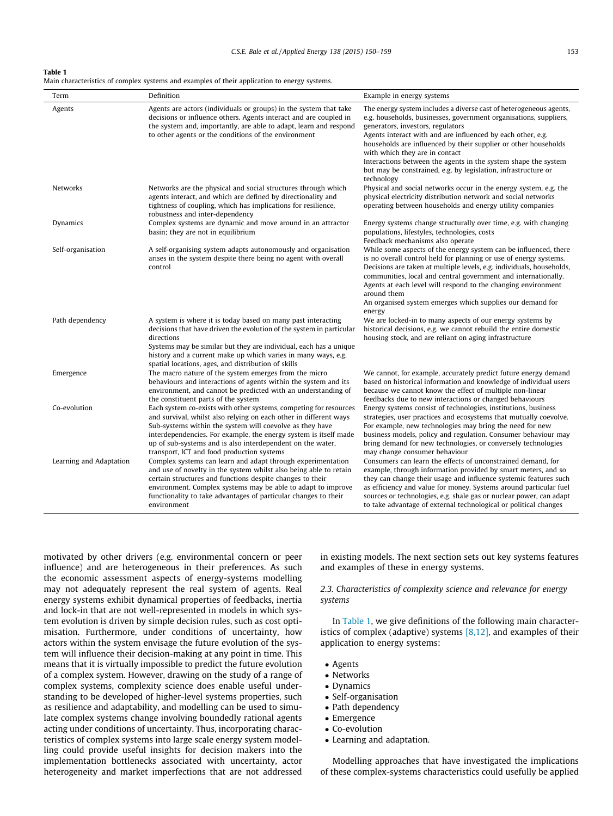#### Table 1

|  |  |  | Main characteristics of complex systems and examples of their application to energy systems. |
|--|--|--|----------------------------------------------------------------------------------------------|
|  |  |  |                                                                                              |

| Term                    | Definition                                                                                                                                                                                                                                                                                                                                                                         | Example in energy systems                                                                                                                                                                                                                                                                                                                                                                                                                                                                          |
|-------------------------|------------------------------------------------------------------------------------------------------------------------------------------------------------------------------------------------------------------------------------------------------------------------------------------------------------------------------------------------------------------------------------|----------------------------------------------------------------------------------------------------------------------------------------------------------------------------------------------------------------------------------------------------------------------------------------------------------------------------------------------------------------------------------------------------------------------------------------------------------------------------------------------------|
| Agents                  | Agents are actors (individuals or groups) in the system that take<br>decisions or influence others. Agents interact and are coupled in<br>the system and, importantly, are able to adapt, learn and respond<br>to other agents or the conditions of the environment                                                                                                                | The energy system includes a diverse cast of heterogeneous agents,<br>e.g. households, businesses, government organisations, suppliers,<br>generators, investors, regulators<br>Agents interact with and are influenced by each other, e.g.<br>households are influenced by their supplier or other households<br>with which they are in contact<br>Interactions between the agents in the system shape the system<br>but may be constrained, e.g. by legislation, infrastructure or<br>technology |
| Networks                | Networks are the physical and social structures through which<br>agents interact, and which are defined by directionality and<br>tightness of coupling, which has implications for resilience,<br>robustness and inter-dependency                                                                                                                                                  | Physical and social networks occur in the energy system, e.g. the<br>physical electricity distribution network and social networks<br>operating between households and energy utility companies                                                                                                                                                                                                                                                                                                    |
| Dynamics                | Complex systems are dynamic and move around in an attractor<br>basin; they are not in equilibrium                                                                                                                                                                                                                                                                                  | Energy systems change structurally over time, e.g. with changing<br>populations, lifestyles, technologies, costs<br>Feedback mechanisms also operate                                                                                                                                                                                                                                                                                                                                               |
| Self-organisation       | A self-organising system adapts autonomously and organisation<br>arises in the system despite there being no agent with overall<br>control                                                                                                                                                                                                                                         | While some aspects of the energy system can be influenced, there<br>is no overall control held for planning or use of energy systems.<br>Decisions are taken at multiple levels, e.g. individuals, households,<br>communities, local and central government and internationally.<br>Agents at each level will respond to the changing environment<br>around them<br>An organised system emerges which supplies our demand for<br>energy                                                            |
| Path dependency         | A system is where it is today based on many past interacting<br>decisions that have driven the evolution of the system in particular<br>directions<br>Systems may be similar but they are individual, each has a unique<br>history and a current make up which varies in many ways, e.g.<br>spatial locations, ages, and distribution of skills                                    | We are locked-in to many aspects of our energy systems by<br>historical decisions, e.g. we cannot rebuild the entire domestic<br>housing stock, and are reliant on aging infrastructure                                                                                                                                                                                                                                                                                                            |
| Emergence               | The macro nature of the system emerges from the micro<br>behaviours and interactions of agents within the system and its<br>environment, and cannot be predicted with an understanding of<br>the constituent parts of the system                                                                                                                                                   | We cannot, for example, accurately predict future energy demand<br>based on historical information and knowledge of individual users<br>because we cannot know the effect of multiple non-linear<br>feedbacks due to new interactions or changed behaviours                                                                                                                                                                                                                                        |
| Co-evolution            | Each system co-exists with other systems, competing for resources<br>and survival, whilst also relying on each other in different ways<br>Sub-systems within the system will coevolve as they have<br>interdependencies. For example, the energy system is itself made<br>up of sub-systems and is also interdependent on the water,<br>transport, ICT and food production systems | Energy systems consist of technologies, institutions, business<br>strategies, user practices and ecosystems that mutually coevolve.<br>For example, new technologies may bring the need for new<br>business models, policy and regulation. Consumer behaviour may<br>bring demand for new technologies, or conversely technologies<br>may change consumer behaviour                                                                                                                                |
| Learning and Adaptation | Complex systems can learn and adapt through experimentation<br>and use of novelty in the system whilst also being able to retain<br>certain structures and functions despite changes to their<br>environment. Complex systems may be able to adapt to improve<br>functionality to take advantages of particular changes to their<br>environment                                    | Consumers can learn the effects of unconstrained demand, for<br>example, through information provided by smart meters, and so<br>they can change their usage and influence systemic features such<br>as efficiency and value for money. Systems around particular fuel<br>sources or technologies, e.g. shale gas or nuclear power, can adapt<br>to take advantage of external technological or political changes                                                                                  |

motivated by other drivers (e.g. environmental concern or peer influence) and are heterogeneous in their preferences. As such the economic assessment aspects of energy-systems modelling may not adequately represent the real system of agents. Real energy systems exhibit dynamical properties of feedbacks, inertia and lock-in that are not well-represented in models in which system evolution is driven by simple decision rules, such as cost optimisation. Furthermore, under conditions of uncertainty, how actors within the system envisage the future evolution of the system will influence their decision-making at any point in time. This means that it is virtually impossible to predict the future evolution of a complex system. However, drawing on the study of a range of complex systems, complexity science does enable useful understanding to be developed of higher-level systems properties, such as resilience and adaptability, and modelling can be used to simulate complex systems change involving boundedly rational agents acting under conditions of uncertainty. Thus, incorporating characteristics of complex systems into large scale energy system modelling could provide useful insights for decision makers into the implementation bottlenecks associated with uncertainty, actor heterogeneity and market imperfections that are not addressed

in existing models. The next section sets out key systems features and examples of these in energy systems.

#### 2.3. Characteristics of complexity science and relevance for energy systems

In Table 1, we give definitions of the following main characteristics of complex (adaptive) systems  $[8,12]$ , and examples of their application to energy systems:

- Agents
- Networks
- Dynamics
- Self-organisation
- Path dependency
- Emergence
- Co-evolution
- Learning and adaptation.

Modelling approaches that have investigated the implications of these complex-systems characteristics could usefully be applied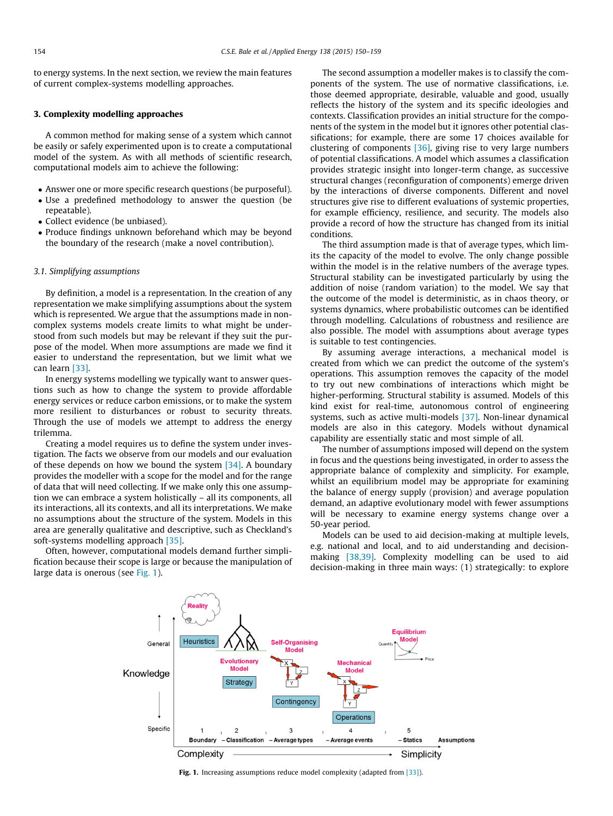<span id="page-5-0"></span>to energy systems. In the next section, we review the main features of current complex-systems modelling approaches.

#### 3. Complexity modelling approaches

A common method for making sense of a system which cannot be easily or safely experimented upon is to create a computational model of the system. As with all methods of scientific research, computational models aim to achieve the following:

- Answer one or more specific research questions (be purposeful).
- Use a predefined methodology to answer the question (be repeatable).
- Collect evidence (be unbiased).
- Produce findings unknown beforehand which may be beyond the boundary of the research (make a novel contribution).

#### 3.1. Simplifying assumptions

By definition, a model is a representation. In the creation of any representation we make simplifying assumptions about the system which is represented. We argue that the assumptions made in noncomplex systems models create limits to what might be understood from such models but may be relevant if they suit the purpose of the model. When more assumptions are made we find it easier to understand the representation, but we limit what we can learn [\[33\].](#page-9-0)

In energy systems modelling we typically want to answer questions such as how to change the system to provide affordable energy services or reduce carbon emissions, or to make the system more resilient to disturbances or robust to security threats. Through the use of models we attempt to address the energy trilemma.

Creating a model requires us to define the system under investigation. The facts we observe from our models and our evaluation of these depends on how we bound the system [\[34\]](#page-9-0). A boundary provides the modeller with a scope for the model and for the range of data that will need collecting. If we make only this one assumption we can embrace a system holistically – all its components, all its interactions, all its contexts, and all its interpretations. We make no assumptions about the structure of the system. Models in this area are generally qualitative and descriptive, such as Checkland's soft-systems modelling approach [\[35\].](#page-9-0)

Often, however, computational models demand further simplification because their scope is large or because the manipulation of large data is onerous (see Fig. 1).

The second assumption a modeller makes is to classify the components of the system. The use of normative classifications, i.e. those deemed appropriate, desirable, valuable and good, usually reflects the history of the system and its specific ideologies and contexts. Classification provides an initial structure for the components of the system in the model but it ignores other potential classifications; for example, there are some 17 choices available for clustering of components [\[36\]](#page-9-0), giving rise to very large numbers of potential classifications. A model which assumes a classification provides strategic insight into longer-term change, as successive structural changes (reconfiguration of components) emerge driven by the interactions of diverse components. Different and novel structures give rise to different evaluations of systemic properties, for example efficiency, resilience, and security. The models also provide a record of how the structure has changed from its initial conditions.

The third assumption made is that of average types, which limits the capacity of the model to evolve. The only change possible within the model is in the relative numbers of the average types. Structural stability can be investigated particularly by using the addition of noise (random variation) to the model. We say that the outcome of the model is deterministic, as in chaos theory, or systems dynamics, where probabilistic outcomes can be identified through modelling. Calculations of robustness and resilience are also possible. The model with assumptions about average types is suitable to test contingencies.

By assuming average interactions, a mechanical model is created from which we can predict the outcome of the system's operations. This assumption removes the capacity of the model to try out new combinations of interactions which might be higher-performing. Structural stability is assumed. Models of this kind exist for real-time, autonomous control of engineering systems, such as active multi-models [\[37\].](#page-9-0) Non-linear dynamical models are also in this category. Models without dynamical capability are essentially static and most simple of all.

The number of assumptions imposed will depend on the system in focus and the questions being investigated, in order to assess the appropriate balance of complexity and simplicity. For example, whilst an equilibrium model may be appropriate for examining the balance of energy supply (provision) and average population demand, an adaptive evolutionary model with fewer assumptions will be necessary to examine energy systems change over a 50-year period.

Models can be used to aid decision-making at multiple levels, e.g. national and local, and to aid understanding and decisionmaking [\[38,39\]](#page-9-0). Complexity modelling can be used to aid decision-making in three main ways: (1) strategically: to explore



Fig. 1. Increasing assumptions reduce model complexity (adapted from [\[33\]](#page-9-0)).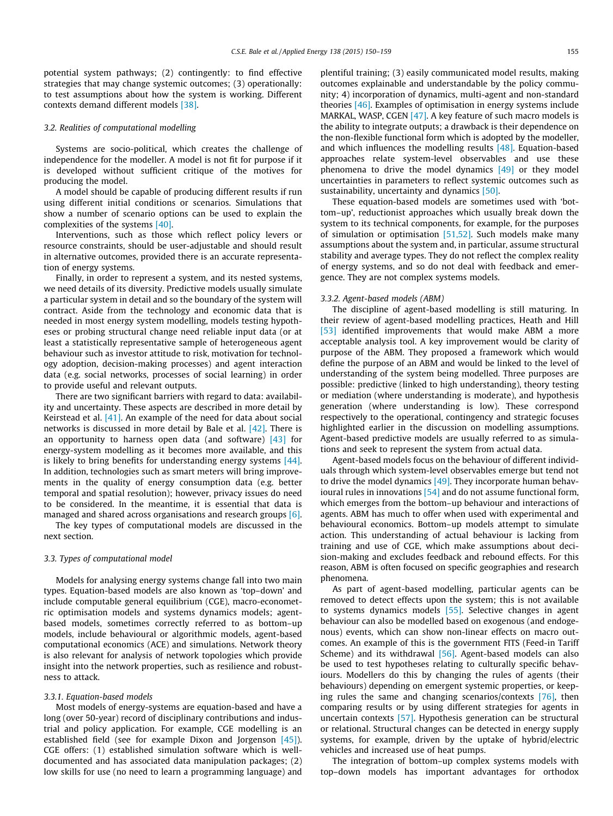potential system pathways; (2) contingently: to find effective strategies that may change systemic outcomes; (3) operationally: to test assumptions about how the system is working. Different contexts demand different models [\[38\]](#page-9-0).

#### 3.2. Realities of computational modelling

Systems are socio-political, which creates the challenge of independence for the modeller. A model is not fit for purpose if it is developed without sufficient critique of the motives for producing the model.

A model should be capable of producing different results if run using different initial conditions or scenarios. Simulations that show a number of scenario options can be used to explain the complexities of the systems [\[40\].](#page-9-0)

Interventions, such as those which reflect policy levers or resource constraints, should be user-adjustable and should result in alternative outcomes, provided there is an accurate representation of energy systems.

Finally, in order to represent a system, and its nested systems, we need details of its diversity. Predictive models usually simulate a particular system in detail and so the boundary of the system will contract. Aside from the technology and economic data that is needed in most energy system modelling, models testing hypotheses or probing structural change need reliable input data (or at least a statistically representative sample of heterogeneous agent behaviour such as investor attitude to risk, motivation for technology adoption, decision-making processes) and agent interaction data (e.g. social networks, processes of social learning) in order to provide useful and relevant outputs.

There are two significant barriers with regard to data: availability and uncertainty. These aspects are described in more detail by Keirstead et al. [\[41\]](#page-9-0). An example of the need for data about social networks is discussed in more detail by Bale et al.  $[42]$ . There is an opportunity to harness open data (and software)  $[43]$  for energy-system modelling as it becomes more available, and this is likely to bring benefits for understanding energy systems [\[44\].](#page-9-0) In addition, technologies such as smart meters will bring improvements in the quality of energy consumption data (e.g. better temporal and spatial resolution); however, privacy issues do need to be considered. In the meantime, it is essential that data is managed and shared across organisations and research groups [\[6\].](#page-9-0)

The key types of computational models are discussed in the next section.

#### 3.3. Types of computational model

Models for analysing energy systems change fall into two main types. Equation-based models are also known as 'top–down' and include computable general equilibrium (CGE), macro-econometric optimisation models and systems dynamics models; agentbased models, sometimes correctly referred to as bottom–up models, include behavioural or algorithmic models, agent-based computational economics (ACE) and simulations. Network theory is also relevant for analysis of network topologies which provide insight into the network properties, such as resilience and robustness to attack.

#### 3.3.1. Equation-based models

Most models of energy-systems are equation-based and have a long (over 50-year) record of disciplinary contributions and industrial and policy application. For example, CGE modelling is an established field (see for example Dixon and Jorgenson [\[45\]\)](#page-10-0). CGE offers: (1) established simulation software which is welldocumented and has associated data manipulation packages; (2) low skills for use (no need to learn a programming language) and plentiful training; (3) easily communicated model results, making outcomes explainable and understandable by the policy community; 4) incorporation of dynamics, multi-agent and non-standard theories [\[46\]](#page-10-0). Examples of optimisation in energy systems include MARKAL, WASP, CGEN [\[47\].](#page-10-0) A key feature of such macro models is the ability to integrate outputs; a drawback is their dependence on the non-flexible functional form which is adopted by the modeller, and which influences the modelling results [\[48\].](#page-10-0) Equation-based approaches relate system-level observables and use these phenomena to drive the model dynamics [\[49\]](#page-10-0) or they model uncertainties in parameters to reflect systemic outcomes such as sustainability, uncertainty and dynamics [\[50\]](#page-10-0).

These equation-based models are sometimes used with 'bottom–up', reductionist approaches which usually break down the system to its technical components, for example, for the purposes of simulation or optimisation [\[51,52\].](#page-10-0) Such models make many assumptions about the system and, in particular, assume structural stability and average types. They do not reflect the complex reality of energy systems, and so do not deal with feedback and emergence. They are not complex systems models.

#### 3.3.2. Agent-based models (ABM)

The discipline of agent-based modelling is still maturing. In their review of agent-based modelling practices, Heath and Hill [\[53\]](#page-10-0) identified improvements that would make ABM a more acceptable analysis tool. A key improvement would be clarity of purpose of the ABM. They proposed a framework which would define the purpose of an ABM and would be linked to the level of understanding of the system being modelled. Three purposes are possible: predictive (linked to high understanding), theory testing or mediation (where understanding is moderate), and hypothesis generation (where understanding is low). These correspond respectively to the operational, contingency and strategic focuses highlighted earlier in the discussion on modelling assumptions. Agent-based predictive models are usually referred to as simulations and seek to represent the system from actual data.

Agent-based models focus on the behaviour of different individuals through which system-level observables emerge but tend not to drive the model dynamics  $[49]$ . They incorporate human behavioural rules in innovations [\[54\]](#page-10-0) and do not assume functional form, which emerges from the bottom–up behaviour and interactions of agents. ABM has much to offer when used with experimental and behavioural economics. Bottom–up models attempt to simulate action. This understanding of actual behaviour is lacking from training and use of CGE, which make assumptions about decision-making and excludes feedback and rebound effects. For this reason, ABM is often focused on specific geographies and research phenomena.

As part of agent-based modelling, particular agents can be removed to detect effects upon the system; this is not available to systems dynamics models [\[55\].](#page-10-0) Selective changes in agent behaviour can also be modelled based on exogenous (and endogenous) events, which can show non-linear effects on macro outcomes. An example of this is the government FITS (Feed-in Tariff Scheme) and its withdrawal [\[56\].](#page-10-0) Agent-based models can also be used to test hypotheses relating to culturally specific behaviours. Modellers do this by changing the rules of agents (their behaviours) depending on emergent systemic properties, or keeping rules the same and changing scenarios/contexts [\[76\]](#page-10-0), then comparing results or by using different strategies for agents in uncertain contexts [\[57\].](#page-10-0) Hypothesis generation can be structural or relational. Structural changes can be detected in energy supply systems, for example, driven by the uptake of hybrid/electric vehicles and increased use of heat pumps.

The integration of bottom–up complex systems models with top–down models has important advantages for orthodox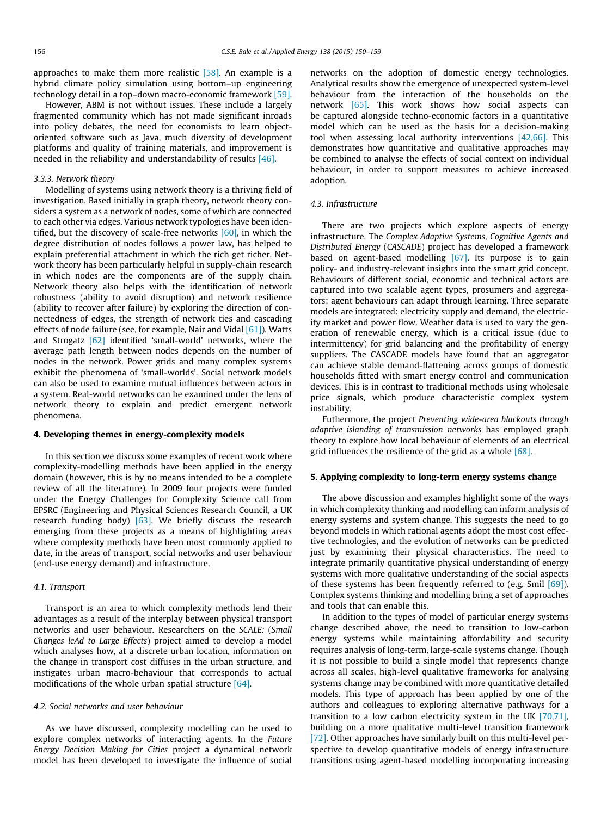<span id="page-7-0"></span>approaches to make them more realistic [\[58\].](#page-10-0) An example is a hybrid climate policy simulation using bottom–up engineering technology detail in a top–down macro-economic framework [\[59\].](#page-10-0)

However, ABM is not without issues. These include a largely fragmented community which has not made significant inroads into policy debates, the need for economists to learn objectoriented software such as Java, much diversity of development platforms and quality of training materials, and improvement is needed in the reliability and understandability of results [\[46\].](#page-10-0)

#### 3.3.3. Network theory

Modelling of systems using network theory is a thriving field of investigation. Based initially in graph theory, network theory considers a system as a network of nodes, some of which are connected to each other via edges. Various network typologies have been identified, but the discovery of scale-free networks [\[60\]](#page-10-0), in which the degree distribution of nodes follows a power law, has helped to explain preferential attachment in which the rich get richer. Network theory has been particularly helpful in supply-chain research in which nodes are the components are of the supply chain. Network theory also helps with the identification of network robustness (ability to avoid disruption) and network resilience (ability to recover after failure) by exploring the direction of connectedness of edges, the strength of network ties and cascading effects of node failure (see, for example, Nair and Vidal [\[61\]](#page-10-0)). Watts and Strogatz [\[62\]](#page-10-0) identified 'small-world' networks, where the average path length between nodes depends on the number of nodes in the network. Power grids and many complex systems exhibit the phenomena of 'small-worlds'. Social network models can also be used to examine mutual influences between actors in a system. Real-world networks can be examined under the lens of network theory to explain and predict emergent network phenomena.

#### 4. Developing themes in energy-complexity models

In this section we discuss some examples of recent work where complexity-modelling methods have been applied in the energy domain (however, this is by no means intended to be a complete review of all the literature). In 2009 four projects were funded under the Energy Challenges for Complexity Science call from EPSRC (Engineering and Physical Sciences Research Council, a UK research funding body) [\[63\].](#page-10-0) We briefly discuss the research emerging from these projects as a means of highlighting areas where complexity methods have been most commonly applied to date, in the areas of transport, social networks and user behaviour (end-use energy demand) and infrastructure.

#### 4.1. Transport

Transport is an area to which complexity methods lend their advantages as a result of the interplay between physical transport networks and user behaviour. Researchers on the SCALE: (Small Changes leAd to Large Effects) project aimed to develop a model which analyses how, at a discrete urban location, information on the change in transport cost diffuses in the urban structure, and instigates urban macro-behaviour that corresponds to actual modifications of the whole urban spatial structure [\[64\].](#page-10-0)

#### 4.2. Social networks and user behaviour

As we have discussed, complexity modelling can be used to explore complex networks of interacting agents. In the Future Energy Decision Making for Cities project a dynamical network model has been developed to investigate the influence of social networks on the adoption of domestic energy technologies. Analytical results show the emergence of unexpected system-level behaviour from the interaction of the households on the network [\[65\].](#page-10-0) This work shows how social aspects can be captured alongside techno-economic factors in a quantitative model which can be used as the basis for a decision-making tool when assessing local authority interventions [\[42,66\]](#page-9-0). This demonstrates how quantitative and qualitative approaches may be combined to analyse the effects of social context on individual behaviour, in order to support measures to achieve increased adoption.

#### 4.3. Infrastructure

There are two projects which explore aspects of energy infrastructure. The Complex Adaptive Systems, Cognitive Agents and Distributed Energy (CASCADE) project has developed a framework based on agent-based modelling [\[67\]](#page-10-0). Its purpose is to gain policy- and industry-relevant insights into the smart grid concept. Behaviours of different social, economic and technical actors are captured into two scalable agent types, prosumers and aggregators; agent behaviours can adapt through learning. Three separate models are integrated: electricity supply and demand, the electricity market and power flow. Weather data is used to vary the generation of renewable energy, which is a critical issue (due to intermittency) for grid balancing and the profitability of energy suppliers. The CASCADE models have found that an aggregator can achieve stable demand-flattening across groups of domestic households fitted with smart energy control and communication devices. This is in contrast to traditional methods using wholesale price signals, which produce characteristic complex system instability.

Futhermore, the project Preventing wide-area blackouts through adaptive islanding of transmission networks has employed graph theory to explore how local behaviour of elements of an electrical grid influences the resilience of the grid as a whole [\[68\]](#page-10-0).

#### 5. Applying complexity to long-term energy systems change

The above discussion and examples highlight some of the ways in which complexity thinking and modelling can inform analysis of energy systems and system change. This suggests the need to go beyond models in which rational agents adopt the most cost effective technologies, and the evolution of networks can be predicted just by examining their physical characteristics. The need to integrate primarily quantitative physical understanding of energy systems with more qualitative understanding of the social aspects of these systems has been frequently referred to (e.g. Smil [\[69\]\)](#page-10-0). Complex systems thinking and modelling bring a set of approaches and tools that can enable this.

In addition to the types of model of particular energy systems change described above, the need to transition to low-carbon energy systems while maintaining affordability and security requires analysis of long-term, large-scale systems change. Though it is not possible to build a single model that represents change across all scales, high-level qualitative frameworks for analysing systems change may be combined with more quantitative detailed models. This type of approach has been applied by one of the authors and colleagues to exploring alternative pathways for a transition to a low carbon electricity system in the UK [\[70,71\],](#page-10-0) building on a more qualitative multi-level transition framework [\[72\]](#page-10-0). Other approaches have similarly built on this multi-level perspective to develop quantitative models of energy infrastructure transitions using agent-based modelling incorporating increasing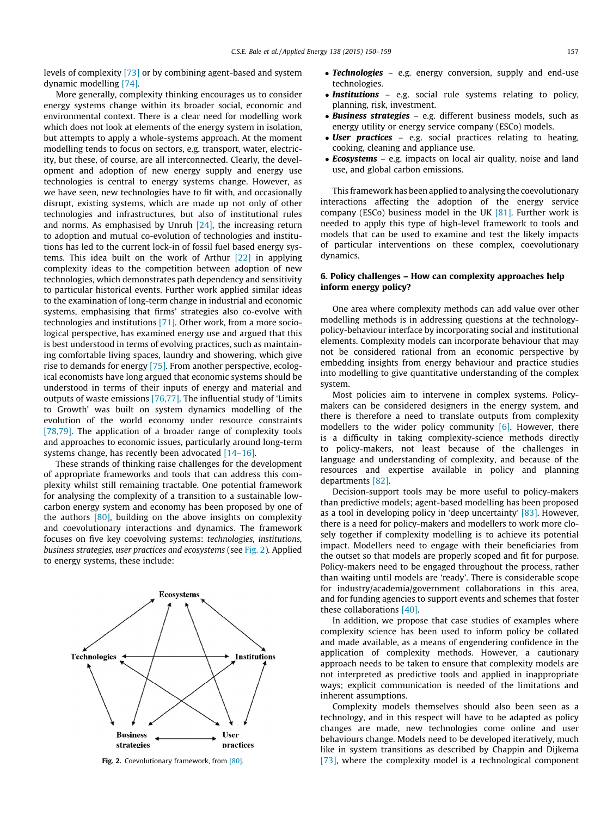<span id="page-8-0"></span>levels of complexity [\[73\]](#page-10-0) or by combining agent-based and system dynamic modelling [\[74\].](#page-10-0)

More generally, complexity thinking encourages us to consider energy systems change within its broader social, economic and environmental context. There is a clear need for modelling work which does not look at elements of the energy system in isolation, but attempts to apply a whole-systems approach. At the moment modelling tends to focus on sectors, e.g. transport, water, electricity, but these, of course, are all interconnected. Clearly, the development and adoption of new energy supply and energy use technologies is central to energy systems change. However, as we have seen, new technologies have to fit with, and occasionally disrupt, existing systems, which are made up not only of other technologies and infrastructures, but also of institutional rules and norms. As emphasised by Unruh  $[24]$ , the increasing return to adoption and mutual co-evolution of technologies and institutions has led to the current lock-in of fossil fuel based energy systems. This idea built on the work of Arthur [\[22\]](#page-9-0) in applying complexity ideas to the competition between adoption of new technologies, which demonstrates path dependency and sensitivity to particular historical events. Further work applied similar ideas to the examination of long-term change in industrial and economic systems, emphasising that firms' strategies also co-evolve with technologies and institutions [\[71\].](#page-10-0) Other work, from a more sociological perspective, has examined energy use and argued that this is best understood in terms of evolving practices, such as maintaining comfortable living spaces, laundry and showering, which give rise to demands for energy [\[75\]](#page-10-0). From another perspective, ecological economists have long argued that economic systems should be understood in terms of their inputs of energy and material and outputs of waste emissions [\[76,77\]](#page-10-0). The influential study of 'Limits to Growth' was built on system dynamics modelling of the evolution of the world economy under resource constraints [\[78,79\]](#page-10-0). The application of a broader range of complexity tools and approaches to economic issues, particularly around long-term systems change, has recently been advocated  $[14-16]$ .

These strands of thinking raise challenges for the development of appropriate frameworks and tools that can address this complexity whilst still remaining tractable. One potential framework for analysing the complexity of a transition to a sustainable lowcarbon energy system and economy has been proposed by one of the authors [\[80\],](#page-10-0) building on the above insights on complexity and coevolutionary interactions and dynamics. The framework focuses on five key coevolving systems: technologies, institutions, business strategies, user practices and ecosystems (see Fig. 2). Applied to energy systems, these include:



- Technologies e.g. energy conversion, supply and end-use technologies.
- Institutions e.g. social rule systems relating to policy, planning, risk, investment.
- Business strategies e.g. different business models, such as energy utility or energy service company (ESCo) models.
- User practices e.g. social practices relating to heating, cooking, cleaning and appliance use.
- *Ecosystems* e.g. impacts on local air quality, noise and land use, and global carbon emissions.

This framework has been applied to analysing the coevolutionary interactions affecting the adoption of the energy service company (ESCo) business model in the UK [\[81\].](#page-10-0) Further work is needed to apply this type of high-level framework to tools and models that can be used to examine and test the likely impacts of particular interventions on these complex, coevolutionary dynamics.

#### 6. Policy challenges – How can complexity approaches help inform energy policy?

One area where complexity methods can add value over other modelling methods is in addressing questions at the technologypolicy-behaviour interface by incorporating social and institutional elements. Complexity models can incorporate behaviour that may not be considered rational from an economic perspective by embedding insights from energy behaviour and practice studies into modelling to give quantitative understanding of the complex system.

Most policies aim to intervene in complex systems. Policymakers can be considered designers in the energy system, and there is therefore a need to translate outputs from complexity modellers to the wider policy community [\[6\].](#page-9-0) However, there is a difficulty in taking complexity-science methods directly to policy-makers, not least because of the challenges in language and understanding of complexity, and because of the resources and expertise available in policy and planning departments [\[82\].](#page-10-0)

Decision-support tools may be more useful to policy-makers than predictive models; agent-based modelling has been proposed as a tool in developing policy in 'deep uncertainty' [\[83\]](#page-10-0). However, there is a need for policy-makers and modellers to work more closely together if complexity modelling is to achieve its potential impact. Modellers need to engage with their beneficiaries from the outset so that models are properly scoped and fit for purpose. Policy-makers need to be engaged throughout the process, rather than waiting until models are 'ready'. There is considerable scope for industry/academia/government collaborations in this area, and for funding agencies to support events and schemes that foster these collaborations [\[40\].](#page-9-0)

In addition, we propose that case studies of examples where complexity science has been used to inform policy be collated and made available, as a means of engendering confidence in the application of complexity methods. However, a cautionary approach needs to be taken to ensure that complexity models are not interpreted as predictive tools and applied in inappropriate ways; explicit communication is needed of the limitations and inherent assumptions.

Complexity models themselves should also been seen as a technology, and in this respect will have to be adapted as policy changes are made, new technologies come online and user behaviours change. Models need to be developed iteratively, much like in system transitions as described by Chappin and Dijkema Fig. 2. Coevolutionary framework, from [\[80\]](#page-10-0). [80] [\[73\]](#page-10-0), where the complexity model is a technological component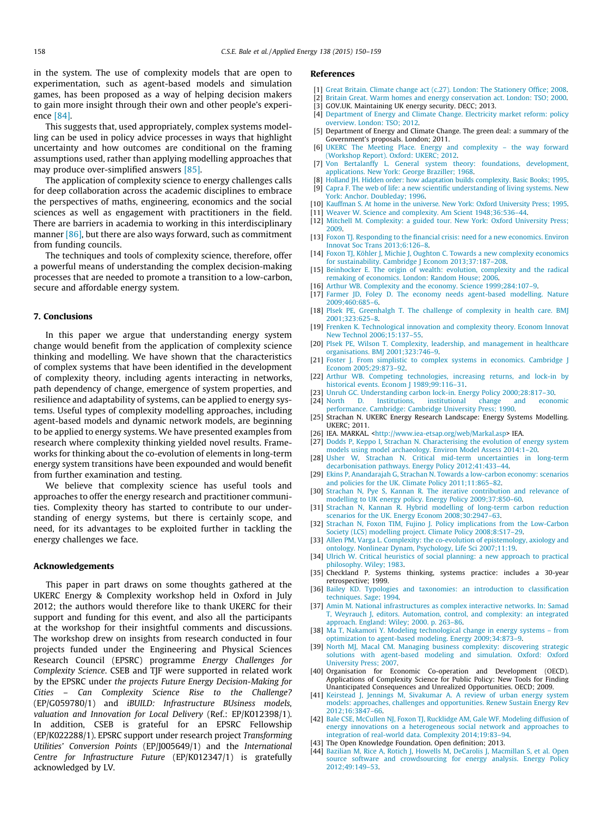<span id="page-9-0"></span>in the system. The use of complexity models that are open to experimentation, such as agent-based models and simulation games, has been proposed as a way of helping decision makers to gain more insight through their own and other people's experience [\[84\]](#page-10-0).

This suggests that, used appropriately, complex systems modelling can be used in policy advice processes in ways that highlight uncertainty and how outcomes are conditional on the framing assumptions used, rather than applying modelling approaches that may produce over-simplified answers [\[85\].](#page-10-0)

The application of complexity science to energy challenges calls for deep collaboration across the academic disciplines to embrace the perspectives of maths, engineering, economics and the social sciences as well as engagement with practitioners in the field. There are barriers in academia to working in this interdisciplinary manner [\[86\]](#page-10-0), but there are also ways forward, such as commitment from funding councils.

The techniques and tools of complexity science, therefore, offer a powerful means of understanding the complex decision-making processes that are needed to promote a transition to a low-carbon, secure and affordable energy system.

#### 7. Conclusions

In this paper we argue that understanding energy system change would benefit from the application of complexity science thinking and modelling. We have shown that the characteristics of complex systems that have been identified in the development of complexity theory, including agents interacting in networks, path dependency of change, emergence of system properties, and resilience and adaptability of systems, can be applied to energy systems. Useful types of complexity modelling approaches, including agent-based models and dynamic network models, are beginning to be applied to energy systems. We have presented examples from research where complexity thinking yielded novel results. Frameworks for thinking about the co-evolution of elements in long-term energy system transitions have been expounded and would benefit from further examination and testing.

We believe that complexity science has useful tools and approaches to offer the energy research and practitioner communities. Complexity theory has started to contribute to our understanding of energy systems, but there is certainly scope, and need, for its advantages to be exploited further in tackling the energy challenges we face.

#### Acknowledgements

This paper in part draws on some thoughts gathered at the UKERC Energy & Complexity workshop held in Oxford in July 2012; the authors would therefore like to thank UKERC for their support and funding for this event, and also all the participants at the workshop for their insightful comments and discussions. The workshop drew on insights from research conducted in four projects funded under the Engineering and Physical Sciences Research Council (EPSRC) programme Energy Challenges for Complexity Science. CSEB and TJF were supported in related work by the EPSRC under the projects Future Energy Decision-Making for Cities – Can Complexity Science Rise to the Challenge? (EP/G059780/1) and iBUILD: Infrastructure BUsiness models, valuation and Innovation for Local Delivery (Ref.: EP/K012398/1). In addition, CSEB is grateful for an EPSRC Fellowship (EP/K022288/1). EPSRC support under research project Transforming Utilities' Conversion Points (EP/J005649/1) and the International Centre for Infrastructure Future (EP/K012347/1) is gratefully acknowledged by LV.

#### References

- [1] [Great Britain. Climate change act \(c.27\). London: The Stationery Office; 2008.](http://refhub.elsevier.com/S0306-2619(14)01107-6/h0435)
- [Britain Great. Warm homes and energy conservation act. London: TSO; 2000.](http://refhub.elsevier.com/S0306-2619(14)01107-6/h0440)
- [3] GOV.UK. Maintaining UK energy security. DECC; 2013.
- [4] [Department of Energy and Climate Change. Electricity market reform: policy](http://refhub.elsevier.com/S0306-2619(14)01107-6/h0020) [overview. London: TSO; 2012](http://refhub.elsevier.com/S0306-2619(14)01107-6/h0020).
- [5] Department of Energy and Climate Change. The green deal: a summary of the Government's proposals. London; 2011.
- [6] [UKERC The Meeting Place. Energy and complexity the way forward](http://refhub.elsevier.com/S0306-2619(14)01107-6/h0030) [\(Workshop Report\). Oxford: UKERC; 2012](http://refhub.elsevier.com/S0306-2619(14)01107-6/h0030).
- [7] [Von Bertalanffy L. General system theory: foundations, development,](http://refhub.elsevier.com/S0306-2619(14)01107-6/h0445) [applications. New York: George Braziller; 1968.](http://refhub.elsevier.com/S0306-2619(14)01107-6/h0445)
- [8] [Holland JH. Hidden order: how adaptation builds complexity. Basic Books; 1995](http://refhub.elsevier.com/S0306-2619(14)01107-6/h0450). [9] [Capra F. The web of life: a new scientific understanding of living systems. New](http://refhub.elsevier.com/S0306-2619(14)01107-6/h0045) [York: Anchor. Doubleday; 1996.](http://refhub.elsevier.com/S0306-2619(14)01107-6/h0045)
- [10] [Kauffman S. At home in the universe. New York: Oxford University Press; 1995](http://refhub.elsevier.com/S0306-2619(14)01107-6/h0050).
- [11] [Weaver W. Science and complexity. Am Scient 1948;36:536–44.](http://refhub.elsevier.com/S0306-2619(14)01107-6/h0055)
- [12] [Mitchell M. Complexity: a guided tour. New York: Oxford University Press;](http://refhub.elsevier.com/S0306-2619(14)01107-6/h0060) [2009](http://refhub.elsevier.com/S0306-2619(14)01107-6/h0060).
- [13] [Foxon TJ. Responding to the financial crisis: need for a new economics. Environ](http://refhub.elsevier.com/S0306-2619(14)01107-6/h0065) [Innovat Soc Trans 2013;6:126–8](http://refhub.elsevier.com/S0306-2619(14)01107-6/h0065).
- [14] [Foxon TJ, Köhler J, Michie J, Oughton C. Towards a new complexity economics](http://refhub.elsevier.com/S0306-2619(14)01107-6/h0070) [for sustainability. Cambridge J Econom 2013;37:187–208.](http://refhub.elsevier.com/S0306-2619(14)01107-6/h0070)
- [15] [Beinhocker E. The origin of wealth: evolution, complexity and the radical](http://refhub.elsevier.com/S0306-2619(14)01107-6/h0075) [remaking of economics. London: Random House; 2006](http://refhub.elsevier.com/S0306-2619(14)01107-6/h0075).
- [16] Arthur WB. Complexity and the economy. Science 1999;284:107-9.
- [17] [Farmer JD, Foley D. The economy needs agent-based modelling. Nature](http://refhub.elsevier.com/S0306-2619(14)01107-6/h0085) [2009;460:685–6.](http://refhub.elsevier.com/S0306-2619(14)01107-6/h0085)
- [18] [Plsek PE, Greenhalgh T. The challenge of complexity in health care. BMJ](http://refhub.elsevier.com/S0306-2619(14)01107-6/h0090) [2001;323:625–8.](http://refhub.elsevier.com/S0306-2619(14)01107-6/h0090)
- [19] [Frenken K. Technological innovation and complexity theory. Econom Innovat](http://refhub.elsevier.com/S0306-2619(14)01107-6/h0095) [New Technol 2006;15:137–55](http://refhub.elsevier.com/S0306-2619(14)01107-6/h0095).
- [20] Plsek PE, Wilson T, Complexity, leadership, and management in healthcare [organisations. BMJ 2001;323:746–9](http://refhub.elsevier.com/S0306-2619(14)01107-6/h0100).
- [21] [Foster J. From simplistic to complex systems in economics. Cambridge J](http://refhub.elsevier.com/S0306-2619(14)01107-6/h0105) [Econom 2005;29:873–92.](http://refhub.elsevier.com/S0306-2619(14)01107-6/h0105)
- [22] [Arthur WB. Competing technologies, increasing returns, and lock-in by](http://refhub.elsevier.com/S0306-2619(14)01107-6/h0110) historical events. Econom | 1989;99:116-31.
- [23] [Unruh GC. Understanding carbon lock-in. Energy Policy 2000;28:817–30.](http://refhub.elsevier.com/S0306-2619(14)01107-6/h0115)
- [24] [North D. Institutions, institutional change and economic](http://refhub.elsevier.com/S0306-2619(14)01107-6/h0120) [performance. Cambridge: Cambridge University Press; 1990](http://refhub.elsevier.com/S0306-2619(14)01107-6/h0120).
- [25] Strachan N. UKERC Energy Research Landscape: Energy Systems Modelling. UKERC; 2011.
- [26] IEA. MARKAL. <<http://www.iea-etsap.org/web/Markal.asp>> IEA.
- [27] [Dodds P, Keppo I, Strachan N. Characterising the evolution of energy system](http://refhub.elsevier.com/S0306-2619(14)01107-6/h0455) [models using model archaeology. Environ Model Assess 2014:1–20](http://refhub.elsevier.com/S0306-2619(14)01107-6/h0455).
- [28] [Usher W, Strachan N. Critical mid-term uncertainties in long-term](http://refhub.elsevier.com/S0306-2619(14)01107-6/h0140) [decarbonisation pathways. Energy Policy 2012;41:433–44](http://refhub.elsevier.com/S0306-2619(14)01107-6/h0140).
- [29] [Ekins P, Anandarajah G, Strachan N. Towards a low-carbon economy: scenarios](http://refhub.elsevier.com/S0306-2619(14)01107-6/h0145) [and policies for the UK. Climate Policy 2011;11:865–82.](http://refhub.elsevier.com/S0306-2619(14)01107-6/h0145)
- [30] [Strachan N, Pye S, Kannan R. The iterative contribution and relevance of](http://refhub.elsevier.com/S0306-2619(14)01107-6/h0150) [modelling to UK energy policy. Energy Policy 2009;37:850–60](http://refhub.elsevier.com/S0306-2619(14)01107-6/h0150).
- [31] [Strachan N, Kannan R. Hybrid modelling of long-term carbon reduction](http://refhub.elsevier.com/S0306-2619(14)01107-6/h0155) [scenarios for the UK. Energy Econom 2008;30:2947–63](http://refhub.elsevier.com/S0306-2619(14)01107-6/h0155).
- [32] [Strachan N, Foxon TIM, Fujino J. Policy implications from the Low-Carbon](http://refhub.elsevier.com/S0306-2619(14)01107-6/h0160) [Society \(LCS\) modelling project. Climate Policy 2008;8:S17–29.](http://refhub.elsevier.com/S0306-2619(14)01107-6/h0160)
- [33] [Allen PM, Varga L. Complexity: the co-evolution of epistemology, axiology and](http://refhub.elsevier.com/S0306-2619(14)01107-6/h0165) [ontology. Nonlinear Dynam, Psychology, Life Sci 2007;11:19.](http://refhub.elsevier.com/S0306-2619(14)01107-6/h0165)
- [34] [Ulrich W. Critical heuristics of social planning: a new approach to practical](http://refhub.elsevier.com/S0306-2619(14)01107-6/h0460) [philosophy. Wiley; 1983](http://refhub.elsevier.com/S0306-2619(14)01107-6/h0460).
- [35] Checkland P. Systems thinking, systems practice: includes a 30-year retrospective; 1999.
- [36] [Bailey KD. Typologies and taxonomies: an introduction to classification](http://refhub.elsevier.com/S0306-2619(14)01107-6/h0465) [techniques. Sage; 1994](http://refhub.elsevier.com/S0306-2619(14)01107-6/h0465).
- [37] [Amin M. National infrastructures as complex interactive networks. In: Samad](http://refhub.elsevier.com/S0306-2619(14)01107-6/h0185) [T, Weyrauch J, editors. Automation, control, and complexity: an integrated](http://refhub.elsevier.com/S0306-2619(14)01107-6/h0185) [approach. England: Wiley; 2000. p. 263–86](http://refhub.elsevier.com/S0306-2619(14)01107-6/h0185).
- [38] [Ma T, Nakamori Y. Modeling technological change in energy systems from](http://refhub.elsevier.com/S0306-2619(14)01107-6/h0190) [optimization to agent-based modeling. Energy 2009;34:873–9](http://refhub.elsevier.com/S0306-2619(14)01107-6/h0190).
- [39] [North MJ, Macal CM. Managing business complexity: discovering strategic](http://refhub.elsevier.com/S0306-2619(14)01107-6/h0195) [solutions with agent-based modeling and simulation. Oxford: Oxford](http://refhub.elsevier.com/S0306-2619(14)01107-6/h0195) [University Press; 2007.](http://refhub.elsevier.com/S0306-2619(14)01107-6/h0195)
- [40] Organisation for Economic Co-operation and Development (OECD). Applications of Complexity Science for Public Policy: New Tools for Finding Unanticipated Consequences and Unrealized Opportunities. OECD; 2009.
- [41] [Keirstead J, Jennings M, Sivakumar A. A review of urban energy system](http://refhub.elsevier.com/S0306-2619(14)01107-6/h0205) [models: approaches, challenges and opportunities. Renew Sustain Energy Rev](http://refhub.elsevier.com/S0306-2619(14)01107-6/h0205) [2012;16:3847–66.](http://refhub.elsevier.com/S0306-2619(14)01107-6/h0205)
- [42] Bale CSE, McCullen NJ, Foxon TJ, Rucklidge AM, Gale WF, Modeling diffusion of [energy innovations on a heterogeneous social network and approaches to](http://refhub.elsevier.com/S0306-2619(14)01107-6/h0210) [integration of real-world data. Complexity 2014;19:83–94](http://refhub.elsevier.com/S0306-2619(14)01107-6/h0210).
- [43] The Open Knowledge Foundation. Open definition; 2013.
- [44] [Bazilian M, Rice A, Rotich J, Howells M, DeCarolis J, Macmillan S, et al. Open](http://refhub.elsevier.com/S0306-2619(14)01107-6/h0220) [source software and crowdsourcing for energy analysis. Energy Policy](http://refhub.elsevier.com/S0306-2619(14)01107-6/h0220) [2012;49:149–53.](http://refhub.elsevier.com/S0306-2619(14)01107-6/h0220)